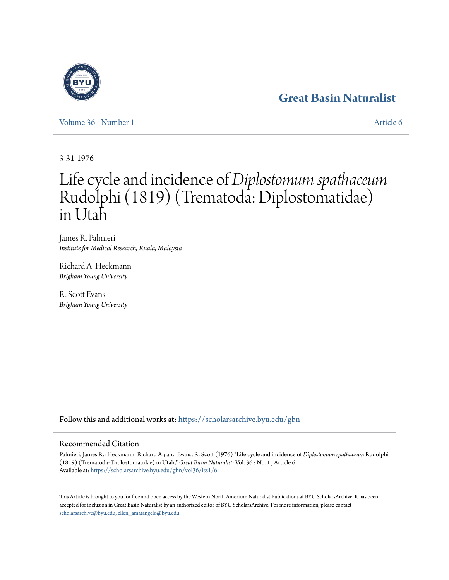## **[Great Basin Naturalist](https://scholarsarchive.byu.edu/gbn?utm_source=scholarsarchive.byu.edu%2Fgbn%2Fvol36%2Fiss1%2F6&utm_medium=PDF&utm_campaign=PDFCoverPages)**

[Volume 36](https://scholarsarchive.byu.edu/gbn/vol36?utm_source=scholarsarchive.byu.edu%2Fgbn%2Fvol36%2Fiss1%2F6&utm_medium=PDF&utm_campaign=PDFCoverPages) | [Number 1](https://scholarsarchive.byu.edu/gbn/vol36/iss1?utm_source=scholarsarchive.byu.edu%2Fgbn%2Fvol36%2Fiss1%2F6&utm_medium=PDF&utm_campaign=PDFCoverPages) [Article 6](https://scholarsarchive.byu.edu/gbn/vol36/iss1/6?utm_source=scholarsarchive.byu.edu%2Fgbn%2Fvol36%2Fiss1%2F6&utm_medium=PDF&utm_campaign=PDFCoverPages)

3-31-1976

# Life cycle and incidence of *Diplostomum spathaceum* Rudolphi (1819) (Trematoda: Diplostomatidae) in Utah

James R. Palmieri *Institute for Medical Research, Kuala, Malaysia*

Richard A. Heckmann *Brigham Young University*

R. Scott Evans *Brigham Young University*

Follow this and additional works at: [https://scholarsarchive.byu.edu/gbn](https://scholarsarchive.byu.edu/gbn?utm_source=scholarsarchive.byu.edu%2Fgbn%2Fvol36%2Fiss1%2F6&utm_medium=PDF&utm_campaign=PDFCoverPages)

### Recommended Citation

Palmieri, James R.; Heckmann, Richard A.; and Evans, R. Scott (1976) "Life cycle and incidence of *Diplostomum spathaceum* Rudolphi (1819) (Trematoda: Diplostomatidae) in Utah," *Great Basin Naturalist*: Vol. 36 : No. 1 , Article 6. Available at: [https://scholarsarchive.byu.edu/gbn/vol36/iss1/6](https://scholarsarchive.byu.edu/gbn/vol36/iss1/6?utm_source=scholarsarchive.byu.edu%2Fgbn%2Fvol36%2Fiss1%2F6&utm_medium=PDF&utm_campaign=PDFCoverPages)

This Article is brought to you for free and open access by the Western North American Naturalist Publications at BYU ScholarsArchive. It has been accepted for inclusion in Great Basin Naturalist by an authorized editor of BYU ScholarsArchive. For more information, please contact [scholarsarchive@byu.edu, ellen\\_amatangelo@byu.edu.](mailto:scholarsarchive@byu.edu,%20ellen_amatangelo@byu.edu)

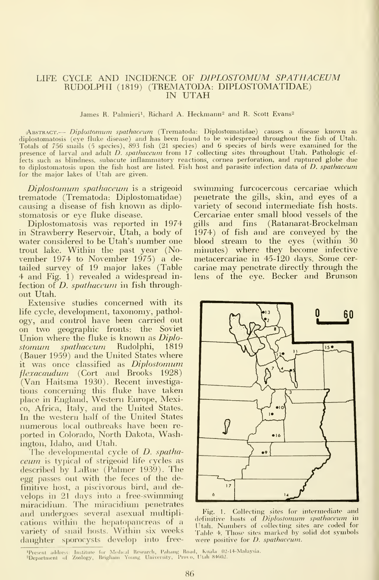#### LIFE CYCLE AND INCIDENCE OF DIPLOSTOMUM SPATHACEUM RUDOLPHI (1819) (TREMATODA: DIPLOSTOMATIDAE) IN UTAH

James R. Palmieri<sup>1</sup>, Richard A. Heckmann<sup>2</sup> and R. Scott Evans<sup>2</sup>

 $\alpha$ Abstract.— *Diplostomum spathaceum* (Trematoda: Diplostomatidae) causes a disease known as diplostomatosis (eye fluke disease) and has been found to be widespread throughout the fish of Utah. Totals of 756 snails (5 species), 893 fish (21 species) and 6 species of birds were examined for the presence of larval and adult D. spathaceum from 17 collecting sites throughout Utah. Pathologic effects such as blindness, subacute inflammatory reactions, cornea perforation, and ruptured globe due to diplostomatosis upon the fish host are listed. Fish host and parasite infection data of D. spathaceum for the major lakes of Utah are given.

Diplostomum spathaceum is a strigeoid trematode (Trematoda: Diplostomatidae) causing a disease of fish known as diplostomatosis or eye fluke disease.

Diplostomatosis was reported in 1974 in Strawberry Reservoir, Utah, a body of water considered to be Utah's number one trout lake. Within the past year (November 1974 to November 1975) a detailed survey of 19 major lakes (Table 4 and Fig. 1) revealed a widespread in fection of *D. spathaceum* in fish throughout Utah.

Extensive studies concerned with its life cycle, development, taxonomy, pathol ogy, and control have been carried out on two geographic fronts: the Soviet Union where the fluke is known as *Diplo*stomum. spathaceum. Rudolphi, 1819 (Bauer 1959) and the United States where it was once classified as Diplostomum flezacaudum (Cort and Brooks 1928) (Van Haitsma 1930). Recent investigations concerning this fluke have taken place in England, Western Europe, Mexico, Africa, Italy, and the United States. In the western half of the United States numerous local outbreaks have been re ported in Colorado, North Dakota, Washington, Idaho, and Utah.

The developmental cycle of  $D$ . spathaceum is typical of strigeoid life cycles as described by LaRue (Palmer 1939). The egg passes out with the feces of the definitive host, a piscivorous bird, and develops in 21 days into a free-swimming miracidium. The miracidium penetrates and undergoes several asexual multiplications within the hepatopancreas of a variety of snail hosts. Within six weeks daughter sporocysts develop into freeswimming furcocercous cercariae which penetrate the gills, skin, and eyes of a variety of second intermediate fish hosts. Cercariae enter small blood vessels of the gills and fins (Ratanarat-Brockelman 1974) of fish and are conveyed by the blood stream to the eyes (within 30 minutes) where they become infective metacercariae in 45-120 days. Some cer cariae may penetrate directly through the lens of the eye. Becker and Brunson



Fig. 1. Collecting sites for intermediate and definitive hosts of Diplostomum spathaceum in Utah. Numbers of (ollecting sites are coded for Table 4. Those sites marked by solid dot symbols were positive for D. spathaceum.

4Present address: Institute for Medical Research, Pahang Road, Kuala 02-14-Malaysia.<br>2Department of Zoology, Brigham Young University, Provo, Utah-84602.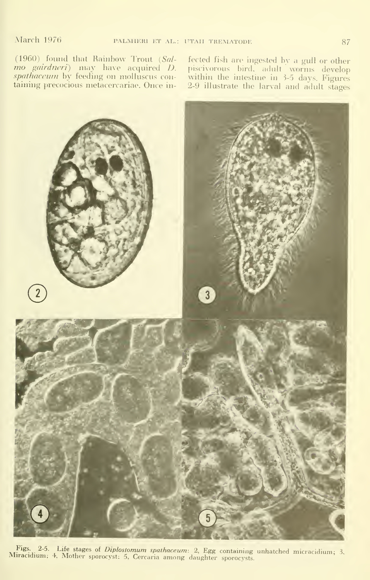(1960) found that Rainbow Trout  $(Sal$ *mo gairdneri*) may have acquired *D.* pi *spathaceum* by feeding on molluscus con- - w taining precocious metacercariae. Once in-

fected fish are ingested by a gull or other piscivorous bird, adult worms develop within the intestine in 3-5 days. Figures  $\hspace{0.1mm}$ 2-9 illustrate the larval and adult stages



Figs. 2-5. Life stages of *Diplostomum spathaceum*: 2, Egg containing unhatched micracidium; 3, Miracidium; 4. Mother sporocyst: 5. Cercaria among daughter sporocysts.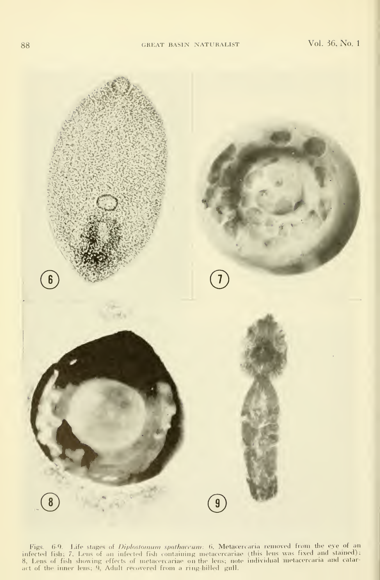

Figs. 6-9. Life stages of *Diplostomum spathaceum*: 6, Metacercaria removed from the eye of an infected fish; 7, Lens of an infected fish containing metacercariae (this lens was fixed and stained); 8, Lens of fish showing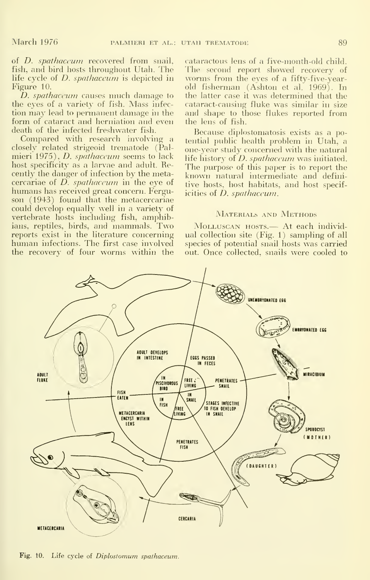of D. spathaceum recovered from snail, fish, and bird hosts throughout Utah. The life cycle of *D. spathaceum* is depicted in Figure 10.

D. *spathaceum* causes much damage to the eyes of a variety of fish. Mass infec tion may lead to permanent damage in the form of cataract and herniation and even death of the infected freshwater fish.

Compared with research involving a closely related strigeoid trematode (Palmieri 1975), *D. spathaceum* seems to lack host specificity as a larvae and adult. Recently the danger of infection by the metacercariae of  $D$ . spathaceum in the eye of humans has received great concern. Ferguson (1943) found that the metacercariae could develop equally well in a variety of vertebrate hosts including fish, amphibians, reptiles, birds, and mammals. Two reports exist in the literature concerning human infections. The first case involved the recovery of four worms within the

cataractous lens of a five-month-old child. The second report showed recovery of worms from the eyes of a fifty-five-yearold fisherman (Ashton et al. 1969). In the latter case it was determined that the cataract-causing fluke was similar in size and shape to those flukes reported from the lens of fish.

Because diplostomatosis exists as a potential public health problem in Utah, a one-year study concerned with the natural life history of  $D$ . *spathaceum* was initiated. The purpose of this paper is to report the known natural intermediate and definitive hosts, host habitats, and host specificities of *D. spathaceum*.

#### MATERIALS AND METHODS

MoLLUSCAN HOSTS.— At each individual collection site (Fig. 1) sampling of all species of potential snail hosts was carried out. Once collected, snails were cooled to



Fig. 10. Life cycle of Diplostomum spalhaceum.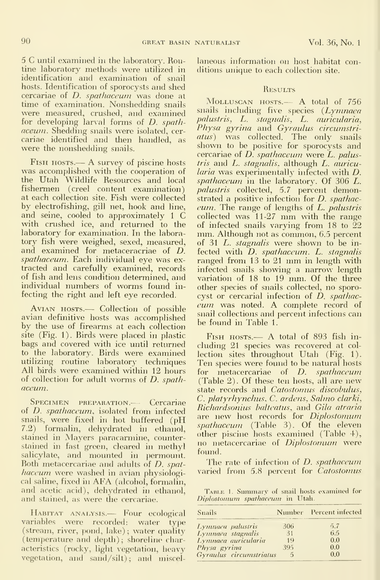<sup>5</sup> C until examined in the laboratory. Routine laboratory methods were utilized in identification and examination of snail hosts. Identification of sporocysts and shed cercariae of D. spathaceum was done at time of examination. Nonshedding snails were measured, crushed, and examined for developing larval forms of D. spathaceum. Shedding snails were isolated, cer cariae identified and then handled, as were the nonshedding snails.

Fish hosts.— <sup>A</sup> survey of piscine hosts was accomplished with the cooperation of the Utah Wildlife Resources and local fishermen (creel content examination) at each collection site. Fish were collected by electrofishing, gill net, hook and line, and seine, cooled to approximately <sup>1</sup> C with crushed ice, and returned to the laboratory for examination. In the laboratory fish were weighed, sexed, measured, and examined for metaceracriae of D. spathaceum. Each individual eye was ex tracted and carefully examined, records of fish and lens condition determined, and individual numbers of worms found in fecting the right and left eye recorded.

AVIAN HOSTS.— Collection of possible avian definitive hosts was accomplished by the use of firearms at each collection site (Fig. 1). Birds were placed in plastic bags and covered with ice until returned to the laboratory. Birds were examined utilizing routine laboratory techniques All birds were examined within 12 hours of collection for adult worms of D. spathaceum..

SPECIMEN PREPARATION.— Cercariae of D. spathaceum, isolated from infected snails, were fixed in hot buffered (pH 7.2) formalin, dehydrated in ethanol, stained in Mayers paracarmine, counterstained in fast green, cleared in methyl salicylate, and mounted in permount. Both metacercariae and adults of D. spathaceum were washed in avian physiological saline, fixed in AFA (alcohol, formalin, and acetic acid), dehydrated in ethanol, and stained, as were the cercariae.

Habitat analysis.— Four ecological variables were recorded: water type (stream, river, pond, lake); water quality (temperature and depth); shoreline characteristics (rocky, light vegetation, heavy vegetation, and sand/silt); and miscel-

laneous information on host habitat conditions unique to each collection site.

#### **RESULTS**

MoLLUscAN HOSTS.— A total of <sup>756</sup> snails including five species  $(Lymnaea)$ palustris, L. stagnalis, L. auricularia, Physa gyrina and Gyraulus circumstriatus) was collected. The only snails shown to be positive for sporocysts and cercariae of D. spathaceum were L. palustris and L. stagnalis, although L. auricularia was experimentally infected with D. spathaceum in the laboratory. Of 306 L. palustris collected, 5.7 percent demonstrated a positive infection for D. spathac eum. The range of lengths of L. palustris  $collected$  was  $11-27$  mm with the range of infected snails varying from 18 to 22 mm. Although not as common, 6.5 percent of 31 L. stagnalis were shown to be infected with *D. spathaceum. L. stagnalis* ranged from <sup>13</sup> to <sup>21</sup> mm in length with infected snails showing a narrow length variation of 18 to 19 mm. Of the three other species of snails collected, no sporocyst or cercarial infection of D. spathaceum was noted. A complete record of snail collections and percent infections can be found in Table 1.

FISH HOSTS.— A total of 893 fish including 21 species was recovered at col lection sites throughout Utah (Fig. 1). Ten species were found to be natural hosts for metacercariae of *D. spathaceum* (Table 2). Of these ten hosts, all are new state records and Catostomus discobulus, C. platyrhynchus, C. ardens, Salmo clarki, Richard.sonius baltcatus. and Gila atraria are new host records for *Diplostomum* spathaceum (Table 3). Of the eleven other piscine hosts examined (Table 4), no metacercariae of *Diplostomum* were found.

The rate of infection of *D. spathaceum* varied from 5.8 percent for Catostomus

TABLE 1. Summary of snail hosts examined for Diplostomum spathaceum, in Utah.

| Suails                  |     | Number Percent infected |
|-------------------------|-----|-------------------------|
| Lynnaea palustris       | 306 | 5.7                     |
| Lymnaea stagnalis       | 31  | 6.5                     |
| Lymnaea auricularia     | 19  | 0.0                     |
| Physa gyrina            | 395 | 0.0                     |
| Gyraulus circumstriatus | 5   | 0.0                     |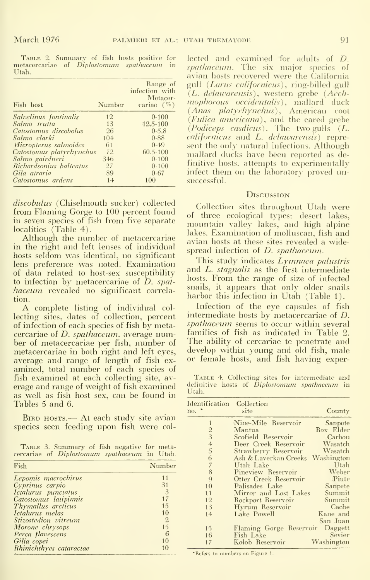Utah.

| Fish host                    | Number   | Range of<br>infection with<br>Metacer-<br>cariae $(\%)$ |
|------------------------------|----------|---------------------------------------------------------|
| Salvelinus fontinalis        | 12       | $0 - 100$                                               |
| Salmo trutta                 | 13       | 12.5-100                                                |
| Catostomus discobolus        | 26       | $0 - 5.8$                                               |
| Salmo clarki                 | $10 - 1$ | $0-88$                                                  |
| <i>Micropterus salmoides</i> | 61       | $0 - 49$                                                |
| Catostomus platyrhynchus     | 72       | 60.5-100                                                |
| Salmo gairdneri              | 346      | $0 - 100$                                               |
| Richardsonius balleatus      | 27       | $0 - 100$                                               |
| Gila atraria                 | 89       | $0 - 67$                                                |
| Catostomus ardens            | $1 +$    | 100                                                     |

*discobulus* (Chiselmouth sucker) collected from Flaming Gorge to 100 percent found in seven species of fish from five separate localities (Table 4).

Although the number of metacercariae in the right and left lenses of individual hosts seldom was identical, no significant lens preference was noted. Examination of data related to host-sex susceptibility to infection by metacercariae of  $\hat{D}$ , spathaceum revealed no significant correlation.

A complete listing of individual collecting sites, dates of collection, percent of infection of each species of fish by metacercariae of  $D.$  spathaceum, average number of metacercariae per fish, number of metacercariae in both right and left eyes, average and range of length of fish examined, total number of each species of fish examined at each collecting site, average and range of weight of fish examined as well as fish host sex, can be found in Tables 5 and 6.

BIRD HOSTS.— At each study site avian species seen feeding upon fish were col-

TABLE 3. Summary of fish negative for metacercariae of Diplostomum spathaceum in Utah.

| Fish                    | Number         |
|-------------------------|----------------|
| Lepomis macrochirus     | 11             |
| Cyprinus carpio         | 31             |
| Ictalurus punctatus     | $\overline{3}$ |
| Catostomus latipinnis   | 17             |
| Thymallus arcticus      | 15             |
| Ictalurus melas         | 10             |
| Stizostedion vitreum    | $\overline{2}$ |
| Morone chrysops         | 15             |
| Perca flavescens        | 6              |
| Gilia copei             | 10             |
| Rhinichthyes cataractae |                |

TABLE 2. Summary of fish hosts positive for lected and examined for adults of D. metacercariae of *Diplostomum spathaceum* in  $\frac{1}{spathace$ *um*. The six major species of avian hosts recovered were the California gull (Larus californicus), ring-billed gull (L. delawarensis), western grebe (Aechmophorous occidentalis), mallard duck (Anas platyrhynchus), American coot<br>(Fulica americana), and the eared grebe (Podiceps casdicus). The two gulls  $(L,$ californicus and L. delawarensis) represent the only natural infections. Although mallard ducks have been reported as definitive hosts, attempts to experimentally infect them on the laboratory proved unsuccessful.

#### DISCUSSION

Collection sites throughout Utah were of three ecological types: desert lakes, mountain valley lakes, and high alpine lakes. Examination of molluscan, fish and avian hosts at these sites revealed a widespread infection of *D. spathaceum*.

This study indicates *Lymnaea palustris* and L. *stagnalis* as the first intermediate hosts. From the range of size of infected snails, it appears that only older snails harbor this infection in Utah (Table 1).

Infection of the eye capsules of fish intermediate hosts by metacercariae of D. *spathaceum* seems to occur within several families of fish as indicated in Table 2. The ability of cercariae to penetrate and develop within young and old fish, male or female hosts, and fish having exper-

TABLE 4. Collecting sites for intermediate and definitive hosts of Diplostomum spathaceum in Utah.

| Identification<br>no. * | Collection<br>site      | County     |
|-------------------------|-------------------------|------------|
| $\mathbf{1}$            | Nine-Mile Reservoir     | Sanpete    |
| $\frac{2}{3}$           | Mantua                  | Box Elder  |
|                         | Scofield Reservoir      | Carbon     |
| $rac{4}{5}$             | Deer Creek Reservoir    | Wasatch    |
|                         | Strawberry Reservoir    | Wasatch    |
| $\frac{6}{7}$           | Ash & Laverkan Creeks   | Washington |
|                         | Utah Lake               | Utah       |
| 8                       | Pineview Reservoir      | Weber      |
| 9                       | Otter Creek Reservoir   | Piute      |
| 10                      | Palisades Lake          | Sanpete    |
| 11                      | Mirror and Lost Lakes   | Summit     |
| 12                      | Rockport Reservoir      | Summit     |
| 13                      | Hyrum Reservoir         | Cache      |
| 14                      | Lake Powell             | Kane and   |
|                         |                         | San Juan   |
| 15                      | Flaming Gorge Reservoir | Daggett    |
| 16                      | Fish Lake               | Sevier     |
| 17                      | Kolob Reservoir         | Washington |

\*Refers to numbers on Figure 1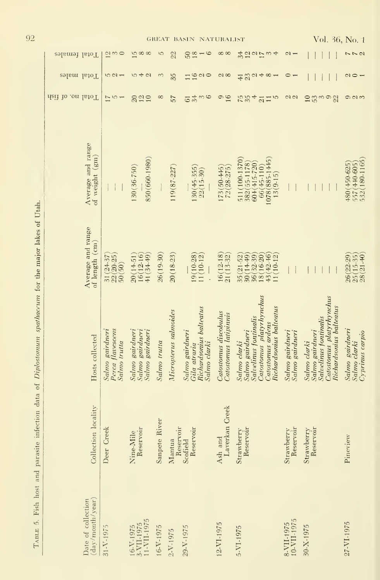|                                        |                                                     |                                                       |               |                       | GREAT BASIN NATURALIST                                                     |                                                |                                                                                                                                      |                                    | Vol. 36, No. 1                                                                                                  |                                                                |
|----------------------------------------|-----------------------------------------------------|-------------------------------------------------------|---------------|-----------------------|----------------------------------------------------------------------------|------------------------------------------------|--------------------------------------------------------------------------------------------------------------------------------------|------------------------------------|-----------------------------------------------------------------------------------------------------------------|----------------------------------------------------------------|
| Total females                          | $\frac{2}{3}$<br>$\circ$                            | 1500                                                  | 5             | 22                    | $\circ$<br>$50\,$<br>18                                                    | $\infty$                                       | 34<br>201<br>$\omega$ 4                                                                                                              | $\sim$ $-$                         |                                                                                                                 | $\sim$ $\sim$ $\sim$                                           |
| Total males                            | 521                                                 | 540                                                   | $\infty$      | 35                    | $\frac{10}{2}$<br>11                                                       | $\alpha$                                       | $Q$ 4 $\infty$ 4<br>23<br>$\overline{41}$                                                                                            | $\circ$ $\overline{ }$             |                                                                                                                 | $\sim$ $\sim$ $\sim$                                           |
| fleit to .on lateT                     | $\frac{7}{5}$<br>$\overline{\phantom{0}}$           | 225                                                   | $\infty$      | 57                    | 54<br>$\circ$<br>$\infty$                                                  | 16<br>$\circ$                                  | $\overline{4}$<br>75<br>15<br>$\overline{\mathfrak{Q}}$                                                                              | $\alpha$                           | $10^{10}$<br>$\frac{9}{22}$<br>$\infty$                                                                         | $\circ$ $\circ$                                                |
| Average and range<br>of weight (gm)    |                                                     | 850 (660-1980)<br>130 (36-750)                        |               | 119(87-227)           | 130 (45-355)<br>$22(15-30)$                                                | 173(50-445)<br>$72(28-275)$                    | 1078 (885-1445)<br>511 (100-1370)<br>382(55-1178)<br>$60 + (415 - 720)$<br>$66(45-110)$<br>$13(9-15)$                                |                                    |                                                                                                                 | 532(180-1165<br>480 (450-625)<br>557 (440-605)                 |
| Average and range<br>of length (cm)    | $22(20-25)$<br>31 (24-37<br>50(50)                  | $20(14-51)$<br>$16(12-16)$<br>$41(34-49)$             | $26(19-30)$   | $20(18-23)$           | 19(10-28)<br>11(10-12                                                      | 16(12-18)<br>$21(13-32)$                       | $43(42 - 46)$<br>$35(21-52)$<br>$\frac{30(14-49)}{36(32-39)}$<br>18(16-20)<br>11(10-12)                                              |                                    |                                                                                                                 | $\frac{26(22-29)}{25(15-35)}$<br>$\frac{25(21-40)}{28(21-40)}$ |
| Hosts collected                        | Perca flavescens<br>Salmo gairdneri<br>Salmo trutta | Salmo gairdneri<br>Salmo gairdneri<br>Salmo gairdneri | Salmo trutta  | Micropterus salmoides | Richardsonius balteatus<br>Salmo gairdneri<br>Salmo clarki<br>Gila atraria | Catostomus discobulus<br>Catostomus latipinnis | Catostomus platyrhynchus<br>Richardsonius balteatus<br>Salvelinus fontinalis<br>Catostomus ardens<br>Salmo gairdneri<br>Salmo clarki | Salmo gairdneri<br>Salmo gairdneri | Catostomus platyrhynchus<br>Richardsonius balteatus<br>Salvelinus fontinalis<br>Salmo gairdneri<br>Salmo clarki | Salmo gairdneri<br>Cyprinus carpio<br>Salmo clarki             |
| Collection locality                    | Deer Creek                                          | Reservoir<br>Nine-Mile                                | Sanpete River | Reservoir<br>Mantua   | Reservoir<br>Scofield                                                      | Creek<br>Laverkan<br>Ash and                   | Reservoir<br>Strawberry                                                                                                              | Reservoir<br>Strawberry            | Reservoir<br>Strawberry                                                                                         | Pineview                                                       |
| (day/month/year)<br>Date of collection | $31 - V - 1975$                                     | 11-VII-1975<br>3-VII-1975<br>16-V-1975                | 16-V-1975     | $2-V-1975$            | 29-V-1975                                                                  | 12-VI-1975                                     | 5-VI-1975                                                                                                                            | 10-VII-1975<br>8-VII-1975          | 30-X-1975                                                                                                       | 27-VI-1975                                                     |

TABLE 5. Fish host and parasite infection data of Diplostomum spathaceum for the major lakes of Utah.

92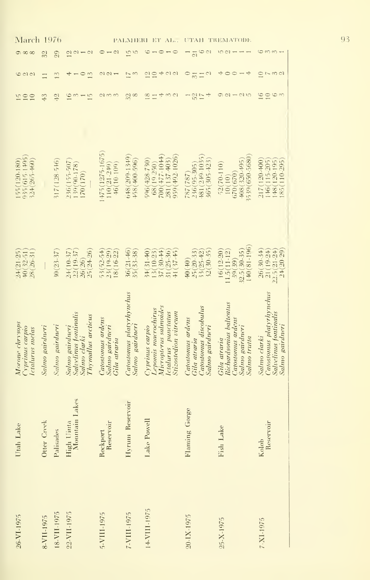| March                                                        |                 | 1976            |                                                                                |                                                        |                                             | ET<br>$\Lambda L_{\cdot}$ .                                                                                   | UTAH                                                                          | TREMATODE                                                                                      |                                                                                      |
|--------------------------------------------------------------|-----------------|-----------------|--------------------------------------------------------------------------------|--------------------------------------------------------|---------------------------------------------|---------------------------------------------------------------------------------------------------------------|-------------------------------------------------------------------------------|------------------------------------------------------------------------------------------------|--------------------------------------------------------------------------------------|
| $\infty$<br>$\infty$                                         | 32              | 29              | $\mathbb{C}$                                                                   | $\mathbb{C}$                                           | $\frac{15}{2}$                              | 6<br>$ \circ$                                                                                                 | $\overline{\Omega}$                                                           | ഗ<br>$\mathcal{C}$                                                                             | 6 m m                                                                                |
| $\frac{1}{2}$                                                |                 | 13              | $\circ$<br>13                                                                  | $\omega \, \alpha$ $\rightarrow$                       | 11<br>$\mathcal{E}$                         | 400<br>$\overline{c}$<br>10                                                                                   | $\circ$<br>C<br>$\overline{31}$                                               | +<br>4<br>$\circ$<br>$\circ$                                                                   | 5001<br>$\subseteq$                                                                  |
| $\overline{10}$<br>10                                        | 43              | 일               | 16<br>15                                                                       | $\alpha$<br>3                                          | 32<br>$\infty$                              | 320<br>$\frac{8}{2}$                                                                                          | ÷<br>$\frac{50}{17}$                                                          | $\circ$<br>S 10                                                                                | 16<br>10<br>$\circ$                                                                  |
|                                                              |                 |                 |                                                                                |                                                        |                                             |                                                                                                               |                                                                               |                                                                                                |                                                                                      |
| 035(615.1405<br>155 (120-180)<br>$324(265 - 460)$            |                 | 317 (128-546)   | 236(155-507<br>$130(90-178)$<br>170(170)                                       | $1475(1275 - 1675)$<br>$110(21 - 219)$<br>$+6(10-100)$ | $6+8(200-13+9$<br>+58 (+00-596)             | $959(492 - 1026)$<br>700 (477-1044)<br>281 (137-403)<br>$596(428-730)$<br>68(19-250)                          | 181 (240.1035)<br>365 (305-423<br>$236(95 - 305)$<br>787(787)                 | 3539(650-5680<br>408 (320-495)<br>$52(70-110)$<br>(670)(670)<br>10(10)                         | 217(120-400<br>$1 + 6(115 - 205)$<br>148 (120-195)<br>185(110-295                    |
| $24(21-25)$<br>$+0(32.51)$<br>28(26-31                       |                 | $30(23-37)$     | $25(24-26)$<br>$24(10-37)$<br>$22(19-37)$<br>26(26)                            | 53(52.54)<br>23(10-29)<br>18(16-22)                    | $36(21 - 16)$<br>35(33.38)                  | $3 + (31 - 40)$<br>$37(30 - 41)$<br>$31(25 - 36)$<br>41(37-45<br>13(10-23)                                    | $25(20-33)$<br>$33(25-42)$<br>$32(30-35)$<br>$(0+)04$                         | $140(81 - 196)$<br>32.5(30-35)<br>$16(12-20)$<br>11.5(11-12)<br>39(39)                         | $26(30-34)$<br>$21(19-24)$<br>$22.5(21 - 24)$<br>$2 + (20.29)$                       |
| Morone chrysops<br>carpo sminial,<br><i>l</i> ctalurus melas | Salmo gairdneri | Salmo gairdneri | Salvelinus fontinalis<br>Thymallus arcticus<br>Salmo gairdueri<br>Salmo clarki | Catostonus ardens<br>Salmo gairdneri<br>Gila atraria   | Catostonus platyrhynchus<br>Salmo gairdneri | Micropterus salmoides<br>Leponus macrochirus<br>ctalurus punctatus<br>Stizostedion vitreum<br>Cyprinus carpio | Catostonus discobulus<br>Catostonus ardens<br>Salmo gairdneri<br>Gila atrarıa | Richardsonius balteatus<br>atostomus ardens<br>Salmo gairdneri<br>Salmo trutta<br>Gila atraria | Catostomus platyrhynchus<br>Salvelinus fontinalis<br>Salmo gairdneri<br>Salmo clarki |
| Utah Lake                                                    | Otter Creek     | Palisades       | Lakes<br>High Uinta<br>Mountain                                                | Reservoir<br>Rockport                                  | Hyrum Reservoir                             | Lake Powell                                                                                                   | Flaming Gorge                                                                 | Fish Lake                                                                                      | Reservoir<br>Kolob                                                                   |
| 26-VI-1975                                                   | 8-VII-1975      | 18-VII-1975     | 22-VII-1975                                                                    | 5-VIII-1975                                            | 7-VIII-1975                                 | $14-VIII - 1975$                                                                                              | 20-IX-1975                                                                    | 25-X-1975                                                                                      | 7-XI-1975                                                                            |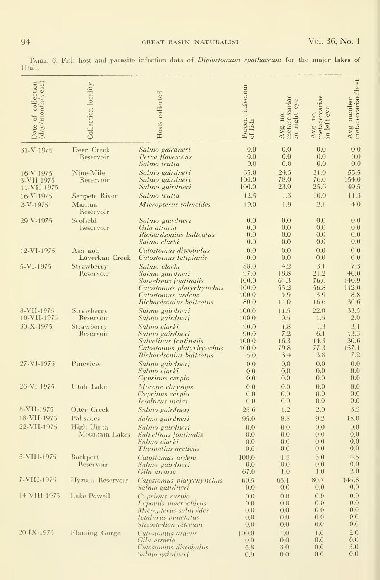| of collection<br>$(\mathrm{day}/\mathrm{month}/\mathrm{year})$<br>Date | Collection locality                       | Hosts collected                                                                                                                      | Percent infection<br>of fish                    | metacercariae<br>eye<br>right<br>Avg. no.<br>$\overline{\mathbf{m}}$ | $\begin{array}{c} \text{Avg. no,} \ \text{metacercaria} \ \text{in left eye} \end{array}$ | $Avg$ number<br>metacercariae/host             |
|------------------------------------------------------------------------|-------------------------------------------|--------------------------------------------------------------------------------------------------------------------------------------|-------------------------------------------------|----------------------------------------------------------------------|-------------------------------------------------------------------------------------------|------------------------------------------------|
| 31-V-1975                                                              | Deer Creek<br>Reservoir                   | Salmo gairdneri<br>Perca flavescens<br>Salmo trutta                                                                                  | 0.0<br>0.0<br>0.0                               | 0.0<br>0.0<br>0.0                                                    | 0.0<br>0.0<br>0.0                                                                         | 0.0<br>0.0<br>0.0                              |
| 16-V-1975<br>3-VII-1975<br>11-VII-1975                                 | Nine-Mile<br>Reservoir                    | Salmo gairdneri<br>Salmo gairdneri<br>Salmo gairdneri                                                                                | 55.0<br>100.0<br>100.0                          | 24.5<br>78.0<br>23.9                                                 | 31.0<br>76.0<br>25.6                                                                      | 55.5<br>154.0<br>49.5                          |
| 16-V-1975<br>$2-V-1975$                                                | Sanpete River<br>Mantua<br>Reservoir      | Salmo trutta<br>Micropterus salmoides                                                                                                | 12.5<br>49.0                                    | 1.3<br>1.9                                                           | 10.0<br>2.1                                                                               | 11.3<br>4.0                                    |
| 29-V-1975                                                              | Scofield<br>Reservoir                     | Salmo gairdneri<br>Gila atraria<br>Richardsonius balteatus<br>Salmo clarki                                                           | 0.0<br>0.0<br>0.0<br>0.0                        | 0.0<br>0.0<br>0.0<br>0.0                                             | 0.0<br>0.0<br>0.0<br>0.0                                                                  | 0.0<br>0.0<br>0.0<br>0.0                       |
| 12-VI-1975                                                             | Ash and<br>Laverkan Creek                 | Catostomus discobulus<br>Catostomus latipinnis                                                                                       | 0.0<br>0.0                                      | 0.0<br>0.0                                                           | 0.0<br>0.0                                                                                | 0.0<br>0.0                                     |
| 5-VI-1975                                                              | Strawberry<br>Reservoir                   | Salmo clarki<br>Salmo gairdneri<br>Salvelinus fontinalis<br>Catostomus platyrhynchus<br>Catostomus ardens<br>Richardsonius balteatus | 88.0<br>97.0<br>100.0<br>100.0<br>100.0<br>80.0 | 4.2<br>18.8<br>64.3<br>55.2<br>4.9<br>14.0                           | 3.1<br>21.2<br>76.6<br>56.8<br>3.9<br>16.6                                                | 7.3<br>$+0.0$<br>140.9<br>112.0<br>8.8<br>30.6 |
| 8-VII-1975<br>10-VII-1975                                              | Strawberry<br>Reservoir                   | Salmo gairdneri<br>Salmo gairdneri                                                                                                   | 100.0<br>100.0                                  | 11.5<br>0.5                                                          | 22.0<br>1.5                                                                               | 33,5<br>2.0                                    |
| 30-X-1975                                                              | Strawberry<br>Reservoir                   | Salmo clarki<br>Salmo gairdneri<br>Salvelinus fontinalis<br>Catostomus platyrhynchus<br>Richardsonius balteatus                      | 90.0<br>90,0<br>100.0<br>100.0<br>5.0           | 1.8<br>7.2<br>16.3<br>79.8<br>3.4                                    | 1.3<br>6.1<br>$1 - 3$<br>77.3<br>3.8                                                      | 3.1<br>13.3<br>30.6<br>157.1<br>7.2            |
| 27-VI-1975                                                             | Pineview                                  | Salmo gairdneri<br>Salmo clarki<br>Cyprinus carpio                                                                                   | 0.0<br>0.0<br>0.0                               | 0.0<br>0.0<br>0.0                                                    | 0.0<br>0.0<br>0.0                                                                         | 0.0<br>0.0<br>0.0                              |
| 26-VI-1975                                                             | Utah Lake                                 | Morone chrysops<br>Cyprinus carpio<br><i><u>Ictalurus melas</u></i>                                                                  | 0.0<br>0.0<br>0.0                               | 0.0<br>0.0<br>0.0                                                    | 0.0<br>0.0<br>0.0                                                                         | 0.0<br>0.0<br>0.0                              |
| 8-VII-1975                                                             | Otter Creek                               | Salmo gairdneri                                                                                                                      | 25.6                                            | 1.2                                                                  | 2.0                                                                                       | 3.2                                            |
| 18-VII-1975<br>22-VII-1975                                             | Palisades<br>High Uinta<br>Mountain Lakes | Salmo gairdneri<br>Salmo gairdneri<br>Salvelinus fontinalis<br>Salmo clarki<br>Thymallus arcticus                                    | 95.0<br>0.0<br>0.0<br>0.0<br>0.0                | 8.8<br>0.0<br>0.0<br>0.0<br>0.0                                      | 9.2<br>0.0<br>0.0<br>0.0<br>0.0                                                           | 18.0<br>0.0<br>0.0<br>0.0<br>0.0               |
| 5-VIII-1975                                                            | Rockport<br>Reservoir                     | Catostomus ardens<br>Salmo gairdneri<br>Gila atraria                                                                                 | 100.0<br>0.0<br>67.0                            | 1.5<br>0.0<br>1.0                                                    | 3.0<br>0.0<br>1.0                                                                         | $+5$<br>0.0<br>2.0                             |
| 7-VIII-1975                                                            | Hyrum Reservoir                           | Catostomus platyrhynchus<br>Salmo gairdneri                                                                                          | 60.5<br>0.0                                     | 65.1<br>0.0                                                          | 80.7<br>0.0                                                                               | 145.8<br>0.0                                   |
| 14-VII1-1975                                                           | <b>Lake Powell</b>                        | Cyprinus carpio<br>Lepomis macrochirus<br>Micropterus salmoides<br>Ictalurus punctatus<br>Stizostedion vitreum                       | 0.0<br>0.0<br>0.0<br>0,0<br>0.0                 | 0.0<br>0.0<br>0.0<br>0.0<br>0.0                                      | 0.0<br>0.0<br>0.0<br>0.0<br>0.0                                                           | 0.0<br>0.0<br>0.0<br>0.0<br>0.0                |
| 20-IX-1975                                                             | Flaming Gorge                             | Catostonuis ardens<br>Gila atraria<br>Catostomus discobulus<br>Salmo gairdneri                                                       | (00.0)<br>0,0<br>5.8<br>0.0                     | 1.0<br>0.0<br>3.0<br>0.0                                             | 1.0<br>0,0<br>0,0<br>0.0                                                                  | 2.0<br>0.0<br>3.0<br>0.0                       |

TABLE 6. Fish host and parasite infection data of *Diplostomum spathaceum* for the major lakes of Utah.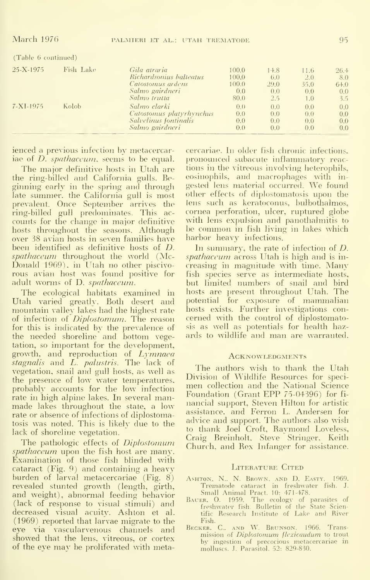| Fish Lake | Gila atraria             | 100.0                   | 14.8  | 11.6 | 26.4 |
|-----------|--------------------------|-------------------------|-------|------|------|
|           |                          |                         |       |      | 8.0  |
|           | Catostomus ardens        | 100.0                   | 29.0  | 35.0 | 64.0 |
|           | Salmo gairdneri          | 0.0                     | 0.0   | 0.0  | 0.0  |
|           | Salmo trutta             | 80.0                    | 2.5   | 1.0  | 3.5  |
| Kolob     | Salmo clarki             | 0.0                     | 0.0   | 0.0  | 0.0  |
|           | Catostomus platyrhynchus | 0.0                     | 0.0   | 0.0  | 0.0  |
|           | Salvelinus fontinalis    | 0.0                     | 0.0   | 0.0  | 0.0  |
|           | Salmo gairdneri          | 0.0                     | 0.0   | 0.0  | 0.0  |
|           | (Table 6 continued)      | Richardsonius balteatus | 100.0 | 6.0  | 2.0  |

ienced a previous infection by metacercariae of *D. spathaceum*, seems to be equal.

The major definitive hosts in Utah are the ring-billed and California gulls. Beginning early in the spring and through late summer, the California gull is most prevalent. Once September arrives the<br>ring-billed gull predominates. This accounts for the change in major definitive hosts throughout the seasons. Although over 38 avian hosts in seven families have been identified as definitive hosts of  $D$ . *spathaceum* throughout the world (Mc-Donald 1969), in Utah no other piscivorous avian host was found positive for adult worms of D. spathaceum.

The ecological habitats examined in Utah varied greatly. Both desert and mountain valley lakes had the highest rate of infection of *Diplostomum*. The reason for this is indicated by the prevalence of<br>the needed shoreline and bottom vegetation, so important for the development, growth, and reproduction of Lymnaea stagnalis and L. palustris. The lack of vegetation, snail and gull hosts, as well as the presence of low water temperatures, probably accounts for the low infection rate in high alpine lakes. In several manmade lakes throughout the state, a low rate or absence of infections of diplostomatosis was noted. This is likely due to the lack of shoreline vegetation.

The pathologic effects of *Diplostomum spathaceum* upon the fish host are many. Examination of those fish blinded with cataract (Fig. 9) and containing a heavy burden of larval metacercariae  $(Fig. 8)$ revealed stunted growth (length, girth, and weight), abnormal feeding behavior (lack of response to visual stimuli) and decreased visual acuity. Ashton et al. (1969) reported that larvae migrate to the eye via vascularvenous channels and showed that the lens, vitreous, or cortex of the eve may be proliferated with metacercariae. In older fish chronic infections, pronounced subacute inflammatory reactions in the vitreous involving heterophils, eosinophils, and macrophages with ingested lens material occurred. We found other effects of diplostomatosis upon the lens such as keratoconus, bulbothalmos, cornea perforation, ulcer, ruptured globe with lens expulsion and panothalmitis to be common in fish living in lakes which harbor heavy infections.

In summary, the rate of infection of  $D$ . *spathaceum* across Utah is high and is increasing in magnitude with time. Many fish species serve as intermediate hosts, but limited numbers of snail and bird hosts are present throughout Utah. The potential for exposure of mammalian hosts exists. Further investigations concerned with the control of diplostomatosis as well as potentials for health hazards to wildlife and man are warranted.

#### **ACKNOWLEDGMENTS**

The authors wish to thank the Utah Division of Wildlife Resources for specimen collection and the National Science Foundation (Grant EPP 75-04396) for financial support, Steven Hilton for artistic assistance, and Ferron L. Andersen for advice and support. The authors also wish to thank Joel Croft, Raymond Loveless, Craig Breinholt, Steve Stringer, Keith Church, and Rex Infanger for assistance.

#### LITERATURE CITED

- ASHTON, N. N. BROWN, AND D. EASTY. 1969.<br>Trematode cataract in freshwater fish. J. Small Animal Pract. 10: 471-478.
- BAUER, O. 1959. The ecology of parasites of<br>freshwater fish. Bulletin of the State Scien-<br>tific Research Institute of Lake and River Fish.
- BECKER, C., AND W. BRUNSON. 1966. Transmission of Diplostomum flexicaudum to trout by ingestion of precocious metacercariae in<br>molluscs. J. Parasitol. 52: 829-830.